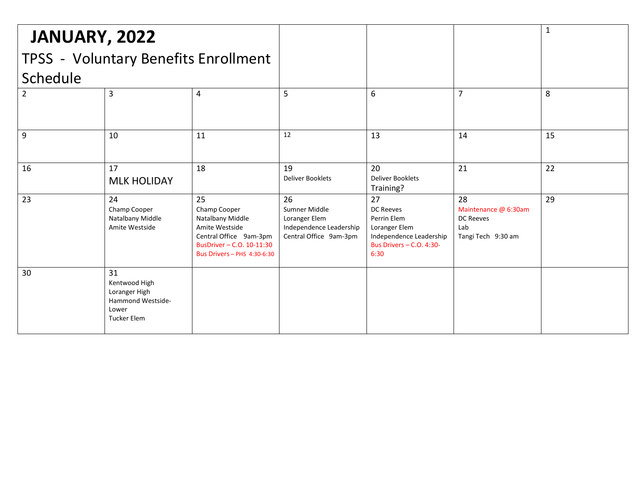| JANUARY, 2022<br>TPSS - Voluntary Benefits Enrollment |                                                                                          |                                                                                                                                                       |                                                                                           |                                                                                                                       |                                                                             | 1  |
|-------------------------------------------------------|------------------------------------------------------------------------------------------|-------------------------------------------------------------------------------------------------------------------------------------------------------|-------------------------------------------------------------------------------------------|-----------------------------------------------------------------------------------------------------------------------|-----------------------------------------------------------------------------|----|
| Schedule                                              |                                                                                          |                                                                                                                                                       |                                                                                           |                                                                                                                       |                                                                             |    |
| 2                                                     | 3                                                                                        | 4                                                                                                                                                     | 5                                                                                         | 6                                                                                                                     | $\overline{7}$                                                              | 8  |
| 9                                                     | 10                                                                                       | 11                                                                                                                                                    | 12                                                                                        | 13                                                                                                                    | 14                                                                          | 15 |
| 16                                                    | 17<br><b>MLK HOLIDAY</b>                                                                 | 18                                                                                                                                                    | 19<br><b>Deliver Booklets</b>                                                             | 20<br><b>Deliver Booklets</b><br>Training?                                                                            | 21                                                                          | 22 |
| 23                                                    | 24<br>Champ Cooper<br>Natalbany Middle<br>Amite Westside                                 | 25<br>Champ Cooper<br>Natalbany Middle<br>Amite Westside<br>Central Office 9am-3pm<br>BusDriver - C.O. 10-11:30<br><b>Bus Drivers - PHS 4:30-6:30</b> | 26<br>Sumner Middle<br>Loranger Elem<br>Independence Leadership<br>Central Office 9am-3pm | 27<br><b>DC Reeves</b><br>Perrin Elem<br>Loranger Elem<br>Independence Leadership<br>Bus Drivers - C.O. 4:30-<br>6:30 | 28<br>Maintenance @ 6:30am<br><b>DC Reeves</b><br>Lab<br>Tangi Tech 9:30 am | 29 |
| 30                                                    | 31<br>Kentwood High<br>Loranger High<br>Hammond Westside-<br>Lower<br><b>Tucker Elem</b> |                                                                                                                                                       |                                                                                           |                                                                                                                       |                                                                             |    |